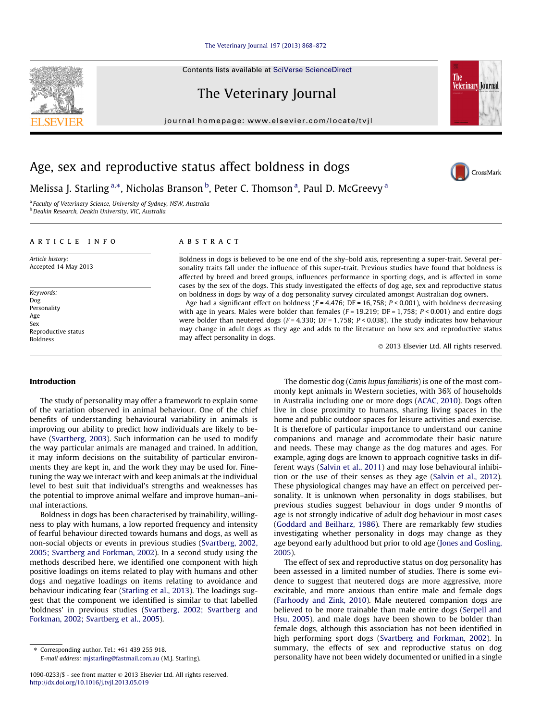## [The Veterinary Journal 197 \(2013\) 868–872](http://dx.doi.org/10.1016/j.tvjl.2013.05.019)

Contents lists available at [SciVerse ScienceDirect](http://www.sciencedirect.com/science/journal/10900233)

# The Veterinary Journal

journal homepage: [www.elsevier.com/locate/tvjl](http://www.elsevier.com/locate/tvjl)



CrossMark

# Age, sex and reproductive status affect boldness in dogs

Melissa J. Starling <sup>a,\*</sup>, Nicholas Branson <sup>b</sup>, Peter C. Thomson <sup>a</sup>, Paul D. McGreevy <sup>a</sup>

<sup>a</sup> Faculty of Veterinary Science, University of Sydney, NSW, Australia <sup>b</sup> Deakin Research, Deakin University, VIC, Australia

## article info

Article history: Accepted 14 May 2013

Keywords: Dog Personality Age Sex Reproductive status Boldness

## **ABSTRACT**

Boldness in dogs is believed to be one end of the shy–bold axis, representing a super-trait. Several personality traits fall under the influence of this super-trait. Previous studies have found that boldness is affected by breed and breed groups, influences performance in sporting dogs, and is affected in some cases by the sex of the dogs. This study investigated the effects of dog age, sex and reproductive status on boldness in dogs by way of a dog personality survey circulated amongst Australian dog owners.

Age had a significant effect on boldness ( $F = 4.476$ ; DF = 16,758;  $P < 0.001$ ), with boldness decreasing with age in years. Males were bolder than females ( $F = 19.219$ ; DF = 1,758;  $P < 0.001$ ) and entire dogs were bolder than neutered dogs  $(F = 4.330; DF = 1.758; P < 0.038)$ . The study indicates how behaviour may change in adult dogs as they age and adds to the literature on how sex and reproductive status may affect personality in dogs.

- 2013 Elsevier Ltd. All rights reserved.

### Introduction

The study of personality may offer a framework to explain some of the variation observed in animal behaviour. One of the chief benefits of understanding behavioural variability in animals is improving our ability to predict how individuals are likely to behave [\(Svartberg, 2003](#page-4-0)). Such information can be used to modify the way particular animals are managed and trained. In addition, it may inform decisions on the suitability of particular environments they are kept in, and the work they may be used for. Finetuning the way we interact with and keep animals at the individual level to best suit that individual's strengths and weaknesses has the potential to improve animal welfare and improve human–animal interactions.

Boldness in dogs has been characterised by trainability, willingness to play with humans, a low reported frequency and intensity of fearful behaviour directed towards humans and dogs, as well as non-social objects or events in previous studies [\(Svartberg, 2002,](#page-4-0) [2005; Svartberg and Forkman, 2002](#page-4-0)). In a second study using the methods described here, we identified one component with high positive loadings on items related to play with humans and other dogs and negative loadings on items relating to avoidance and behaviour indicating fear [\(Starling et al., 2013\)](#page-4-0). The loadings suggest that the component we identified is similar to that labelled 'boldness' in previous studies [\(Svartberg, 2002; Svartberg and](#page-4-0) [Forkman, 2002; Svartberg et al., 2005\)](#page-4-0).

The domestic dog (Canis lupus familiaris) is one of the most commonly kept animals in Western societies, with 36% of households in Australia including one or more dogs ([ACAC, 2010](#page-4-0)). Dogs often live in close proximity to humans, sharing living spaces in the home and public outdoor spaces for leisure activities and exercise. It is therefore of particular importance to understand our canine companions and manage and accommodate their basic nature and needs. These may change as the dog matures and ages. For example, aging dogs are known to approach cognitive tasks in different ways [\(Salvin et al., 2011](#page-4-0)) and may lose behavioural inhibition or the use of their senses as they age [\(Salvin et al., 2012\)](#page-4-0). These physiological changes may have an effect on perceived personality. It is unknown when personality in dogs stabilises, but previous studies suggest behaviour in dogs under 9 months of age is not strongly indicative of adult dog behaviour in most cases ([Goddard and Beilharz, 1986](#page-4-0)). There are remarkably few studies investigating whether personality in dogs may change as they age beyond early adulthood but prior to old age ([Jones and Gosling,](#page-4-0) [2005\)](#page-4-0).

The effect of sex and reproductive status on dog personality has been assessed in a limited number of studies. There is some evidence to suggest that neutered dogs are more aggressive, more excitable, and more anxious than entire male and female dogs ([Farhoody and Zink, 2010](#page-4-0)). Male neutered companion dogs are believed to be more trainable than male entire dogs ([Serpell and](#page-4-0) [Hsu, 2005\)](#page-4-0), and male dogs have been shown to be bolder than female dogs, although this association has not been identified in high performing sport dogs ([Svartberg and Forkman, 2002\)](#page-4-0). In summary, the effects of sex and reproductive status on dog personality have not been widely documented or unified in a single



<sup>⇑</sup> Corresponding author. Tel.: +61 439 255 918. E-mail address: [mjstarling@fastmail.com.au](mailto:mjstarling@fastmail.com.au) (M.J. Starling).

<sup>1090-0233/\$ -</sup> see front matter @ 2013 Elsevier Ltd. All rights reserved. <http://dx.doi.org/10.1016/j.tvjl.2013.05.019>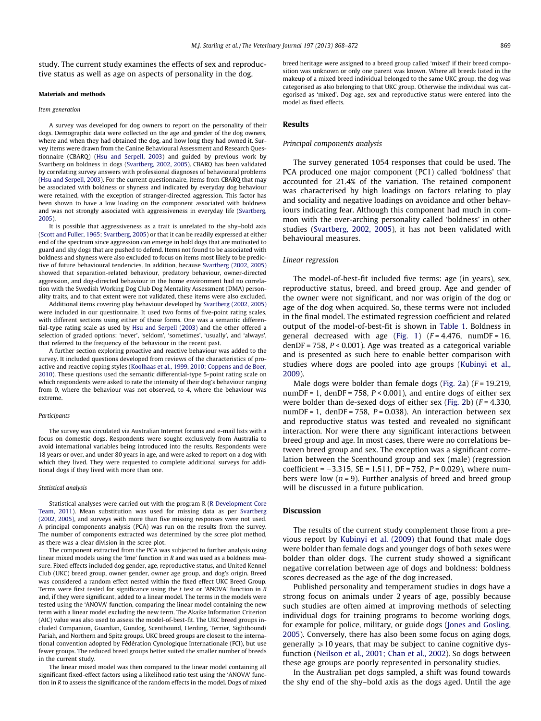study. The current study examines the effects of sex and reproductive status as well as age on aspects of personality in the dog.

#### Materials and methods

#### Item generation

A survey was developed for dog owners to report on the personality of their dogs. Demographic data were collected on the age and gender of the dog owners, where and when they had obtained the dog, and how long they had owned it. Survey items were drawn from the Canine Behavioural Assessment and Research Questionnaire (CBARQ) [\(Hsu and Serpell, 2003\)](#page-4-0) and guided by previous work by Svartberg on boldness in dogs ([Svartberg, 2002, 2005\)](#page-4-0). CBARQ has been validated by correlating survey answers with professional diagnoses of behavioural problems ([Hsu and Serpell, 2003\)](#page-4-0). For the current questionnaire, items from CBARQ that may be associated with boldness or shyness and indicated by everyday dog behaviour were retained, with the exception of stranger-directed aggression. This factor has been shown to have a low loading on the component associated with boldness and was not strongly associated with aggressiveness in everyday life [\(Svartberg,](#page-4-0) [2005\)](#page-4-0).

It is possible that aggressiveness as a trait is unrelated to the shy–bold axis ([Scott and Fuller, 1965; Svartberg, 2005](#page-4-0)) or that it can be readily expressed at either end of the spectrum since aggression can emerge in bold dogs that are motivated to guard and shy dogs that are pushed to defend. Items not found to be associated with boldness and shyness were also excluded to focus on items most likely to be predictive of future behavioural tendencies. In addition, because [Svartberg \(2002, 2005\)](#page-4-0) showed that separation-related behaviour, predatory behaviour, owner-directed aggression, and dog-directed behaviour in the home environment had no correlation with the Swedish Working Dog Club Dog Mentality Assessment (DMA) personality traits, and to that extent were not validated, these items were also excluded.

Additional items covering play behaviour developed by [Svartberg \(2002, 2005\)](#page-4-0) were included in our questionnaire. It used two forms of five-point rating scales, with different sections using either of those forms. One was a semantic differential-type rating scale as used by [Hsu and Serpell \(2003\)](#page-4-0) and the other offered a selection of graded options: 'never', 'seldom', 'sometimes', 'usually', and 'always', that referred to the frequency of the behaviour in the recent past.

A further section exploring proactive and reactive behaviour was added to the survey. It included questions developed from reviews of the characteristics of proactive and reactive coping styles [\(Koolhaas et al., 1999, 2010; Coppens and de Boer,](#page-4-0) [2010\)](#page-4-0). These questions used the semantic differential-type 5-point rating scale on which respondents were asked to rate the intensity of their dog's behaviour ranging from 0, where the behaviour was not observed, to 4, where the behaviour was extreme.

#### Participants

The survey was circulated via Australian Internet forums and e-mail lists with a focus on domestic dogs. Respondents were sought exclusively from Australia to avoid international variables being introduced into the results. Respondents were 18 years or over, and under 80 years in age, and were asked to report on a dog with which they lived. They were requested to complete additional surveys for additional dogs if they lived with more than one.

#### Statistical analysis

Statistical analyses were carried out with the program R [\(R Development Core](#page-4-0) [Team, 2011\)](#page-4-0). Mean substitution was used for missing data as per [Svartberg](#page-4-0) [\(2002, 2005\),](#page-4-0) and surveys with more than five missing responses were not used. A principal components analysis (PCA) was run on the results from the survey. The number of components extracted was determined by the scree plot method, as there was a clear division in the scree plot.

The component extracted from the PCA was subjected to further analysis using linear mixed models using the 'lme' function in R and was used as a boldness measure. Fixed effects included dog gender, age, reproductive status, and United Kennel Club (UKC) breed group, owner gender, owner age group, and dog's origin. Breed was considered a random effect nested within the fixed effect UKC Breed Group. Terms were first tested for significance using the  $t$  test or 'ANOVA' function in  $R$ and, if they were significant, added to a linear model. The terms in the models were tested using the 'ANOVA' function, comparing the linear model containing the new term with a linear model excluding the new term. The Akaike Information Criterion (AIC) value was also used to assess the model-of-best-fit. The UKC breed groups included Companion, Guardian, Gundog, Scenthound, Herding, Terrier, Sighthound/ Pariah, and Northern and Spitz groups. UKC breed groups are closest to the international convention adopted by Fédération Cynologique Internationale (FCI), but use fewer groups. The reduced breed groups better suited the smaller number of breeds in the current study.

The linear mixed model was then compared to the linear model containing all significant fixed-effect factors using a likelihood ratio test using the 'ANOVA' function in R to assess the significance of the random effects in the model. Dogs of mixed breed heritage were assigned to a breed group called 'mixed' if their breed composition was unknown or only one parent was known. Where all breeds listed in the makeup of a mixed breed individual belonged to the same UKC group, the dog was categorised as also belonging to that UKC group. Otherwise the individual was categorised as 'mixed'. Dog age, sex and reproductive status were entered into the model as fixed effects.

#### Results

### Principal components analysis

The survey generated 1054 responses that could be used. The PCA produced one major component (PC1) called 'boldness' that accounted for 21.4% of the variation. The retained component was characterised by high loadings on factors relating to play and sociality and negative loadings on avoidance and other behaviours indicating fear. Although this component had much in common with the over-arching personality called 'boldness' in other studies ([Svartberg, 2002, 2005](#page-4-0)), it has not been validated with behavioural measures.

#### Linear regression

The model-of-best-fit included five terms: age (in years), sex, reproductive status, breed, and breed group. Age and gender of the owner were not significant, and nor was origin of the dog or age of the dog when acquired. So, these terms were not included in the final model. The estimated regression coefficient and related output of the model-of-best-fit is shown in [Table 1.](#page-2-0) Boldness in general decreased with age [\(Fig. 1\)](#page-2-0)  $(F = 4.476, numDF = 16,$ denDF = 758,  $P < 0.001$ ). Age was treated as a categorical variable and is presented as such here to enable better comparison with studies where dogs are pooled into age groups [\(Kubinyi et al.,](#page-4-0) [2009](#page-4-0)).

Male dogs were bolder than female dogs ([Fig. 2a](#page-3-0))  $(F = 19.219,$ numDF = 1, denDF = 758,  $P < 0.001$ ), and entire dogs of either sex were bolder than de-sexed dogs of either sex ([Fig. 2](#page-3-0)b)  $(F = 4.330,$ numDF = 1, denDF = 758,  $P = 0.038$ ). An interaction between sex and reproductive status was tested and revealed no significant interaction. Nor were there any significant interactions between breed group and age. In most cases, there were no correlations between breed group and sex. The exception was a significant correlation between the Scenthound group and sex (male) (regression coefficient =  $-3.315$ , SE = 1.511, DF = 752, P = 0.029), where numbers were low  $(n = 9)$ . Further analysis of breed and breed group will be discussed in a future publication.

## Discussion

The results of the current study complement those from a previous report by [Kubinyi et al. \(2009\)](#page-4-0) that found that male dogs were bolder than female dogs and younger dogs of both sexes were bolder than older dogs. The current study showed a significant negative correlation between age of dogs and boldness: boldness scores decreased as the age of the dog increased.

Published personality and temperament studies in dogs have a strong focus on animals under 2 years of age, possibly because such studies are often aimed at improving methods of selecting individual dogs for training programs to become working dogs, for example for police, military, or guide dogs ([Jones and Gosling,](#page-4-0) [2005](#page-4-0)). Conversely, there has also been some focus on aging dogs, generally  $\geqslant$  10 years, that may be subject to canine cognitive dysfunction ([Neilson et al., 2001; Chan et al., 2002\)](#page-4-0). So dogs between these age groups are poorly represented in personality studies.

In the Australian pet dogs sampled, a shift was found towards the shy end of the shy–bold axis as the dogs aged. Until the age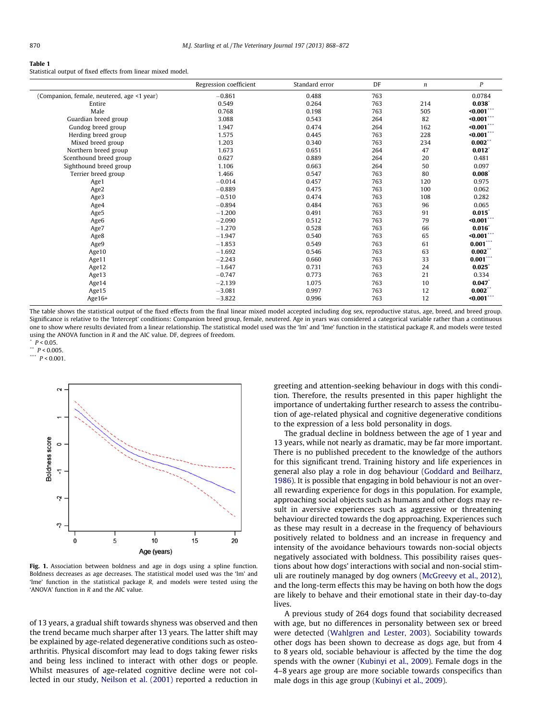#### <span id="page-2-0"></span>Table 1

Statistical output of fixed effects from linear mixed model.

|                                            | Regression coefficient | Standard error | DF  | $\boldsymbol{n}$ | $\boldsymbol{P}$      |
|--------------------------------------------|------------------------|----------------|-----|------------------|-----------------------|
| (Companion, female, neutered, age <1 year) | $-0.861$               | 0.488          | 763 |                  | 0.0784                |
| Entire                                     | 0.549                  | 0.264          | 763 | 214              | 0.038                 |
| Male                                       | 0.768                  | 0.198          | 763 | 505              | $\leq 0.001$ ***      |
| Guardian breed group                       | 3.088                  | 0.543          | 264 | 82               | $\leq 0.001$ ***      |
| Gundog breed group                         | 1.947                  | 0.474          | 264 | 162              | $\leq 0.001$ ***      |
| Herding breed group                        | 1.575                  | 0.445          | 763 | 228              | $\leq 0.001$ ***      |
| Mixed breed group                          | 1.203                  | 0.340          | 763 | 234              | $0.002$ **            |
| Northern breed group                       | 1.673                  | 0.651          | 264 | 47               | $0.012$ <sup>*</sup>  |
| Scenthound breed group                     | 0.627                  | 0.889          | 264 | 20               | 0.481                 |
| Sighthound breed group                     | 1.106                  | 0.663          | 264 | 50               | 0.097                 |
| Terrier breed group                        | 1.466                  | 0.547          | 763 | 80               | $0.008^*$             |
| Age1                                       | $-0.014$               | 0.457          | 763 | 120              | 0.975                 |
| Age2                                       | $-0.889$               | 0.475          | 763 | 100              | 0.062                 |
| Age3                                       | $-0.510$               | 0.474          | 763 | 108              | 0.282                 |
| Age4                                       | $-0.894$               | 0.484          | 763 | 96               | 0.065                 |
| Age5                                       | $-1.200$               | 0.491          | 763 | 91               | 0.015                 |
| Age6                                       | $-2.090$               | 0.512          | 763 | 79               | $\leq 0.001$ $\cdots$ |
| Age7                                       | $-1.270$               | 0.528          | 763 | 66               | 0.016                 |
| Age8                                       | $-1.947$               | 0.540          | 763 | 65               | $\leq 0.001$ ***      |
| Age9                                       | $-1.853$               | 0.549          | 763 | 61               | 0.001                 |
| Age10                                      | $-1.692$               | 0.546          | 763 | 63               | $0.002**$             |
| Age11                                      | $-2.243$               | 0.660          | 763 | 33               | $0.001***$            |
| Age12                                      | $-1.647$               | 0.731          | 763 | 24               | $0.025$ <sup>*</sup>  |
| Age13                                      | $-0.747$               | 0.773          | 763 | 21               | 0.334                 |
| Age14                                      | $-2.139$               | 1.075          | 763 | 10               | 0.047                 |
| Age15                                      | $-3.081$               | 0.997          | 763 | 12               | $0.002$ **            |
| Age16+                                     | $-3.822$               | 0.996          | 763 | 12               | $\leq 0.001$ $\cdots$ |

The table shows the statistical output of the fixed effects from the final linear mixed model accepted including dog sex, reproductive status, age, breed, and breed group. Significance is relative to the 'Intercept' conditions: Companion breed group, female, neutered. Age in years was considered a categorical variable rather than a continuous one to show where results deviated from a linear relationship. The statistical model used was the 'lm' and 'lme' function in the statistical package R, and models were tested using the ANOVA function in R and the AIC value. DF, degrees of freedom.

\*\*\*  $P < 0.001$ .



Fig. 1. Association between boldness and age in dogs using a spline function. Boldness decreases as age decreases. The statistical model used was the 'lm' and 'lme' function in the statistical package  $R$ , and models were tested using the 'ANOVA' function in R and the AIC value.

of 13 years, a gradual shift towards shyness was observed and then the trend became much sharper after 13 years. The latter shift may be explained by age-related degenerative conditions such as osteoarthritis. Physical discomfort may lead to dogs taking fewer risks and being less inclined to interact with other dogs or people. Whilst measures of age-related cognitive decline were not collected in our study, [Neilson et al. \(2001\)](#page-4-0) reported a reduction in greeting and attention-seeking behaviour in dogs with this condition. Therefore, the results presented in this paper highlight the importance of undertaking further research to assess the contribution of age-related physical and cognitive degenerative conditions to the expression of a less bold personality in dogs.

The gradual decline in boldness between the age of 1 year and 13 years, while not nearly as dramatic, may be far more important. There is no published precedent to the knowledge of the authors for this significant trend. Training history and life experiences in general also play a role in dog behaviour [\(Goddard and Beilharz,](#page-4-0) [1986\)](#page-4-0). It is possible that engaging in bold behaviour is not an overall rewarding experience for dogs in this population. For example, approaching social objects such as humans and other dogs may result in aversive experiences such as aggressive or threatening behaviour directed towards the dog approaching. Experiences such as these may result in a decrease in the frequency of behaviours positively related to boldness and an increase in frequency and intensity of the avoidance behaviours towards non-social objects negatively associated with boldness. This possibility raises questions about how dogs' interactions with social and non-social stimuli are routinely managed by dog owners ([McGreevy et al., 2012\)](#page-4-0), and the long-term effects this may be having on both how the dogs are likely to behave and their emotional state in their day-to-day lives.

A previous study of 264 dogs found that sociability decreased with age, but no differences in personality between sex or breed were detected ([Wahlgren and Lester, 2003](#page-4-0)). Sociability towards other dogs has been shown to decrease as dogs age, but from 4 to 8 years old, sociable behaviour is affected by the time the dog spends with the owner ([Kubinyi et al., 2009\)](#page-4-0). Female dogs in the 4–8 years age group are more sociable towards conspecifics than male dogs in this age group [\(Kubinyi et al., 2009](#page-4-0)).

 $^*$   $P < 0.05$ .

 $P < 0.005$ .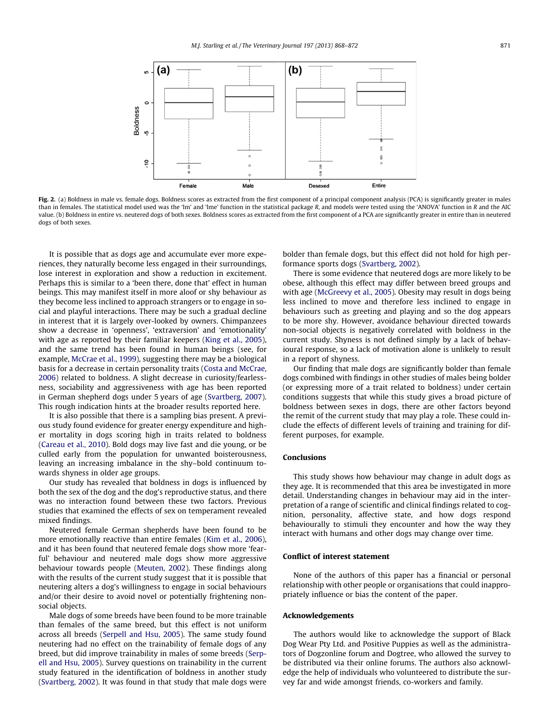<span id="page-3-0"></span>

Fig. 2. (a) Boldness in male vs. female dogs. Boldness scores as extracted from the first component of a principal component analysis (PCA) is significantly greater in males than in females. The statistical model used was the 'lm' and 'lme' function in the statistical package R, and models were tested using the 'ANOVA' function in R and the AIC value. (b) Boldness in entire vs. neutered dogs of both sexes. Boldness scores as extracted from the first component of a PCA are significantly greater in entire than in neutered dogs of both sexes.

It is possible that as dogs age and accumulate ever more experiences, they naturally become less engaged in their surroundings, lose interest in exploration and show a reduction in excitement. Perhaps this is similar to a 'been there, done that' effect in human beings. This may manifest itself in more aloof or shy behaviour as they become less inclined to approach strangers or to engage in social and playful interactions. There may be such a gradual decline in interest that it is largely over-looked by owners. Chimpanzees show a decrease in 'openness', 'extraversion' and 'emotionality' with age as reported by their familiar keepers ([King et al., 2005\)](#page-4-0), and the same trend has been found in human beings (see, for example, [McCrae et al., 1999](#page-4-0)), suggesting there may be a biological basis for a decrease in certain personality traits ([Costa and McCrae,](#page-4-0) [2006](#page-4-0)) related to boldness. A slight decrease in curiosity/fearlessness, sociability and aggressiveness with age has been reported in German shepherd dogs under 5 years of age ([Svartberg, 2007\)](#page-4-0). This rough indication hints at the broader results reported here.

It is also possible that there is a sampling bias present. A previous study found evidence for greater energy expenditure and higher mortality in dogs scoring high in traits related to boldness ([Careau et al., 2010](#page-4-0)). Bold dogs may live fast and die young, or be culled early from the population for unwanted boisterousness, leaving an increasing imbalance in the shy–bold continuum towards shyness in older age groups.

Our study has revealed that boldness in dogs is influenced by both the sex of the dog and the dog's reproductive status, and there was no interaction found between these two factors. Previous studies that examined the effects of sex on temperament revealed mixed findings.

Neutered female German shepherds have been found to be more emotionally reactive than entire females [\(Kim et al., 2006\)](#page-4-0), and it has been found that neutered female dogs show more 'fearful' behaviour and neutered male dogs show more aggressive behaviour towards people ([Meuten, 2002\)](#page-4-0). These findings along with the results of the current study suggest that it is possible that neutering alters a dog's willingness to engage in social behaviours and/or their desire to avoid novel or potentially frightening nonsocial objects.

Male dogs of some breeds have been found to be more trainable than females of the same breed, but this effect is not uniform across all breeds [\(Serpell and Hsu, 2005\)](#page-4-0). The same study found neutering had no effect on the trainability of female dogs of any breed, but did improve trainability in males of some breeds ([Serp](#page-4-0)[ell and Hsu, 2005](#page-4-0)). Survey questions on trainability in the current study featured in the identification of boldness in another study ([Svartberg, 2002](#page-4-0)). It was found in that study that male dogs were bolder than female dogs, but this effect did not hold for high performance sports dogs ([Svartberg, 2002](#page-4-0)).

There is some evidence that neutered dogs are more likely to be obese, although this effect may differ between breed groups and with age ([McGreevy et al., 2005](#page-4-0)). Obesity may result in dogs being less inclined to move and therefore less inclined to engage in behaviours such as greeting and playing and so the dog appears to be more shy. However, avoidance behaviour directed towards non-social objects is negatively correlated with boldness in the current study. Shyness is not defined simply by a lack of behavioural response, so a lack of motivation alone is unlikely to result in a report of shyness.

Our finding that male dogs are significantly bolder than female dogs combined with findings in other studies of males being bolder (or expressing more of a trait related to boldness) under certain conditions suggests that while this study gives a broad picture of boldness between sexes in dogs, there are other factors beyond the remit of the current study that may play a role. These could include the effects of different levels of training and training for different purposes, for example.

#### Conclusions

This study shows how behaviour may change in adult dogs as they age. It is recommended that this area be investigated in more detail. Understanding changes in behaviour may aid in the interpretation of a range of scientific and clinical findings related to cognition, personality, affective state, and how dogs respond behaviourally to stimuli they encounter and how the way they interact with humans and other dogs may change over time.

## Conflict of interest statement

None of the authors of this paper has a financial or personal relationship with other people or organisations that could inappropriately influence or bias the content of the paper.

### Acknowledgements

The authors would like to acknowledge the support of Black Dog Wear Pty Ltd. and Positive Puppies as well as the administrators of Dogzonline forum and Dogtree, who allowed the survey to be distributed via their online forums. The authors also acknowledge the help of individuals who volunteered to distribute the survey far and wide amongst friends, co-workers and family.